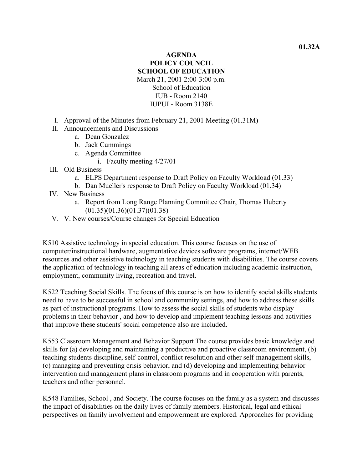## **AGENDA POLICY COUNCIL SCHOOL OF EDUCATION**  March 21, 2001 2:00-3:00 p.m. School of Education IUB - Room 2140 IUPUI - Room 3138E

- I. Approval of the Minutes from February 21, 2001 Meeting (01.31M)
- II. Announcements and Discussions
	- a. Dean Gonzalez
	- b. Jack Cummings
	- c. Agenda Committee
		- i. Faculty meeting 4/27/01
- III. Old Business
	- a. ELPS Department response to Draft Policy on Faculty Workload (01.33)
	- b. Dan Mueller's response to Draft Policy on Faculty Workload (01.34)
- IV. New Business
	- a. Report from Long Range Planning Committee Chair, Thomas Huberty (01.35)(01.36)(01.37)(01.38)
- V. V. New courses/Course changes for Special Education

K510 Assistive technology in special education. This course focuses on the use of computer/instructional hardware, augmentative devices software programs, internet/WEB resources and other assistive technology in teaching students with disabilities. The course covers the application of technology in teaching all areas of education including academic instruction, employment, community living, recreation and travel.

K522 Teaching Social Skills. The focus of this course is on how to identify social skills students need to have to be successful in school and community settings, and how to address these skills as part of instructional programs. How to assess the social skills of students who display problems in their behavior , and how to develop and implement teaching lessons and activities that improve these students' social competence also are included.

K553 Classroom Management and Behavior Support The course provides basic knowledge and skills for (a) developing and maintaining a productive and proactive classroom environment, (b) teaching students discipline, self-control, conflict resolution and other self-management skills, (c) managing and preventing crisis behavior, and (d) developing and implementing behavior intervention and management plans in classroom programs and in cooperation with parents, teachers and other personnel.

K548 Families, School , and Society. The course focuses on the family as a system and discusses the impact of disabilities on the daily lives of family members. Historical, legal and ethical perspectives on family involvement and empowerment are explored. Approaches for providing